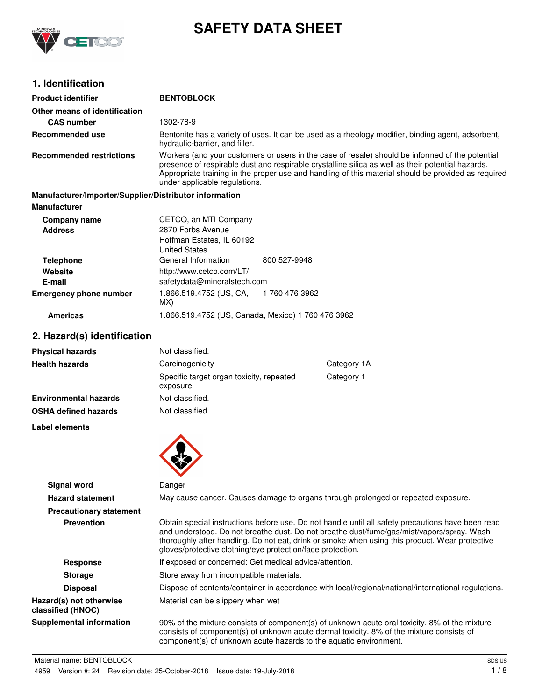

**Product identifier BENTOBLOCK**

# **SAFETY DATA SHEET**

# **1. Identification**

| Other means of identification                                                 |                                                                                                                                                                                                                                                                                                                                                                |  |  |
|-------------------------------------------------------------------------------|----------------------------------------------------------------------------------------------------------------------------------------------------------------------------------------------------------------------------------------------------------------------------------------------------------------------------------------------------------------|--|--|
| <b>CAS number</b>                                                             | 1302-78-9                                                                                                                                                                                                                                                                                                                                                      |  |  |
| Recommended use                                                               | Bentonite has a variety of uses. It can be used as a rheology modifier, binding agent, adsorbent,<br>hydraulic-barrier, and filler.                                                                                                                                                                                                                            |  |  |
| <b>Recommended restrictions</b>                                               | Workers (and your customers or users in the case of resale) should be informed of the potential<br>presence of respirable dust and respirable crystalline silica as well as their potential hazards.<br>Appropriate training in the proper use and handling of this material should be provided as required<br>under applicable regulations.                   |  |  |
| Manufacturer/Importer/Supplier/Distributor information<br><b>Manufacturer</b> |                                                                                                                                                                                                                                                                                                                                                                |  |  |
| Company name<br><b>Address</b>                                                | CETCO, an MTI Company<br>2870 Forbs Avenue<br>Hoffman Estates, IL 60192<br><b>United States</b>                                                                                                                                                                                                                                                                |  |  |
| <b>Telephone</b><br>Website<br>E-mail                                         | General Information<br>800 527-9948<br>http://www.cetco.com/LT/<br>safetydata@mineralstech.com                                                                                                                                                                                                                                                                 |  |  |
| <b>Emergency phone number</b>                                                 | 1.866.519.4752 (US, CA,<br>1760 476 3962<br>MX)                                                                                                                                                                                                                                                                                                                |  |  |
| <b>Americas</b>                                                               | 1.866.519.4752 (US, Canada, Mexico) 1 760 476 3962                                                                                                                                                                                                                                                                                                             |  |  |
| 2. Hazard(s) identification                                                   |                                                                                                                                                                                                                                                                                                                                                                |  |  |
| <b>Physical hazards</b>                                                       | Not classified.                                                                                                                                                                                                                                                                                                                                                |  |  |
| <b>Health hazards</b>                                                         | Category 1A<br>Carcinogenicity                                                                                                                                                                                                                                                                                                                                 |  |  |
|                                                                               | Category 1<br>Specific target organ toxicity, repeated<br>exposure                                                                                                                                                                                                                                                                                             |  |  |
| <b>Environmental hazards</b>                                                  | Not classified.                                                                                                                                                                                                                                                                                                                                                |  |  |
| <b>OSHA defined hazards</b>                                                   | Not classified.                                                                                                                                                                                                                                                                                                                                                |  |  |
| <b>Label elements</b>                                                         |                                                                                                                                                                                                                                                                                                                                                                |  |  |
|                                                                               |                                                                                                                                                                                                                                                                                                                                                                |  |  |
| Signal word                                                                   | Danger                                                                                                                                                                                                                                                                                                                                                         |  |  |
| <b>Hazard statement</b>                                                       | May cause cancer. Causes damage to organs through prolonged or repeated exposure.                                                                                                                                                                                                                                                                              |  |  |
| <b>Precautionary statement</b>                                                |                                                                                                                                                                                                                                                                                                                                                                |  |  |
| <b>Prevention</b>                                                             | Obtain special instructions before use. Do not handle until all safety precautions have been read<br>and understood. Do not breathe dust. Do not breathe dust/fume/gas/mist/vapors/spray. Wash<br>thoroughly after handling. Do not eat, drink or smoke when using this product. Wear protective<br>gloves/protective clothing/eye protection/face protection. |  |  |
| <b>Response</b>                                                               | If exposed or concerned: Get medical advice/attention.                                                                                                                                                                                                                                                                                                         |  |  |
| <b>Storage</b>                                                                | Store away from incompatible materials.                                                                                                                                                                                                                                                                                                                        |  |  |
| <b>Disposal</b>                                                               | Dispose of contents/container in accordance with local/regional/national/international regulations.                                                                                                                                                                                                                                                            |  |  |
| Hazard(s) not otherwise<br>classified (HNOC)                                  | Material can be slippery when wet                                                                                                                                                                                                                                                                                                                              |  |  |
| <b>Supplemental information</b>                                               | 90% of the mixture consists of component(s) of unknown acute oral toxicity. 8% of the mixture<br>consists of component(s) of unknown acute dermal toxicity. 8% of the mixture consists of<br>component(s) of unknown acute hazards to the aquatic environment.                                                                                                 |  |  |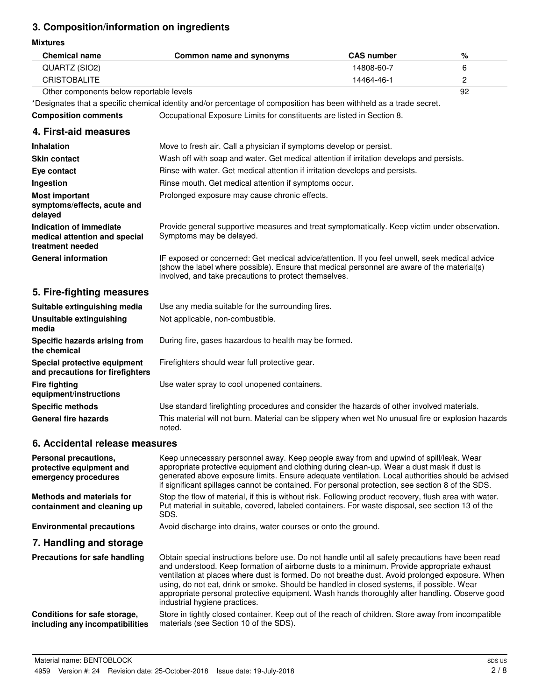# **3. Composition/information on ingredients**

#### **Mixtures**

| <b>Mixtures</b>                                                              |                                                                                                                                                                                                                                                                                                                                                                                                                                                                                                                                   |                   |    |
|------------------------------------------------------------------------------|-----------------------------------------------------------------------------------------------------------------------------------------------------------------------------------------------------------------------------------------------------------------------------------------------------------------------------------------------------------------------------------------------------------------------------------------------------------------------------------------------------------------------------------|-------------------|----|
| <b>Chemical name</b>                                                         | <b>Common name and synonyms</b>                                                                                                                                                                                                                                                                                                                                                                                                                                                                                                   | <b>CAS number</b> | %  |
| QUARTZ (SIO2)                                                                |                                                                                                                                                                                                                                                                                                                                                                                                                                                                                                                                   | 14808-60-7        | 6  |
| <b>CRISTOBALITE</b>                                                          |                                                                                                                                                                                                                                                                                                                                                                                                                                                                                                                                   | 14464-46-1        | 2  |
| Other components below reportable levels                                     |                                                                                                                                                                                                                                                                                                                                                                                                                                                                                                                                   |                   | 92 |
|                                                                              | *Designates that a specific chemical identity and/or percentage of composition has been withheld as a trade secret.                                                                                                                                                                                                                                                                                                                                                                                                               |                   |    |
| <b>Composition comments</b>                                                  | Occupational Exposure Limits for constituents are listed in Section 8.                                                                                                                                                                                                                                                                                                                                                                                                                                                            |                   |    |
| 4. First-aid measures                                                        |                                                                                                                                                                                                                                                                                                                                                                                                                                                                                                                                   |                   |    |
| <b>Inhalation</b>                                                            | Move to fresh air. Call a physician if symptoms develop or persist.                                                                                                                                                                                                                                                                                                                                                                                                                                                               |                   |    |
| <b>Skin contact</b>                                                          | Wash off with soap and water. Get medical attention if irritation develops and persists.                                                                                                                                                                                                                                                                                                                                                                                                                                          |                   |    |
| Eye contact                                                                  | Rinse with water. Get medical attention if irritation develops and persists.                                                                                                                                                                                                                                                                                                                                                                                                                                                      |                   |    |
| Ingestion                                                                    | Rinse mouth. Get medical attention if symptoms occur.                                                                                                                                                                                                                                                                                                                                                                                                                                                                             |                   |    |
| <b>Most important</b><br>symptoms/effects, acute and<br>delayed              | Prolonged exposure may cause chronic effects.                                                                                                                                                                                                                                                                                                                                                                                                                                                                                     |                   |    |
| Indication of immediate<br>medical attention and special<br>treatment needed | Provide general supportive measures and treat symptomatically. Keep victim under observation.<br>Symptoms may be delayed.                                                                                                                                                                                                                                                                                                                                                                                                         |                   |    |
| <b>General information</b>                                                   | IF exposed or concerned: Get medical advice/attention. If you feel unwell, seek medical advice<br>(show the label where possible). Ensure that medical personnel are aware of the material(s)<br>involved, and take precautions to protect themselves.                                                                                                                                                                                                                                                                            |                   |    |
| 5. Fire-fighting measures                                                    |                                                                                                                                                                                                                                                                                                                                                                                                                                                                                                                                   |                   |    |
| Suitable extinguishing media                                                 | Use any media suitable for the surrounding fires.                                                                                                                                                                                                                                                                                                                                                                                                                                                                                 |                   |    |
| Unsuitable extinguishing<br>media                                            | Not applicable, non-combustible.                                                                                                                                                                                                                                                                                                                                                                                                                                                                                                  |                   |    |
| Specific hazards arising from<br>the chemical                                | During fire, gases hazardous to health may be formed.                                                                                                                                                                                                                                                                                                                                                                                                                                                                             |                   |    |
| Special protective equipment<br>and precautions for firefighters             | Firefighters should wear full protective gear.                                                                                                                                                                                                                                                                                                                                                                                                                                                                                    |                   |    |
| <b>Fire fighting</b><br>equipment/instructions                               | Use water spray to cool unopened containers.                                                                                                                                                                                                                                                                                                                                                                                                                                                                                      |                   |    |
| <b>Specific methods</b>                                                      | Use standard firefighting procedures and consider the hazards of other involved materials.                                                                                                                                                                                                                                                                                                                                                                                                                                        |                   |    |
| General fire hazards                                                         | This material will not burn. Material can be slippery when wet No unusual fire or explosion hazards<br>noted.                                                                                                                                                                                                                                                                                                                                                                                                                     |                   |    |
| 6. Accidental release measures                                               |                                                                                                                                                                                                                                                                                                                                                                                                                                                                                                                                   |                   |    |
| Personal precautions,<br>protective equipment and<br>emergency procedures    | Keep unnecessary personnel away. Keep people away from and upwind of spill/leak. Wear<br>appropriate protective equipment and clothing during clean-up. Wear a dust mask if dust is<br>generated above exposure limits. Ensure adequate ventilation. Local authorities should be advised<br>if significant spillages cannot be contained. For personal protection, see section 8 of the SDS.                                                                                                                                      |                   |    |
| <b>Methods and materials for</b><br>containment and cleaning up              | Stop the flow of material, if this is without risk. Following product recovery, flush area with water.<br>Put material in suitable, covered, labeled containers. For waste disposal, see section 13 of the<br>SDS.                                                                                                                                                                                                                                                                                                                |                   |    |
| <b>Environmental precautions</b>                                             | Avoid discharge into drains, water courses or onto the ground.                                                                                                                                                                                                                                                                                                                                                                                                                                                                    |                   |    |
| 7. Handling and storage                                                      |                                                                                                                                                                                                                                                                                                                                                                                                                                                                                                                                   |                   |    |
| Precautions for safe handling                                                | Obtain special instructions before use. Do not handle until all safety precautions have been read<br>and understood. Keep formation of airborne dusts to a minimum. Provide appropriate exhaust<br>ventilation at places where dust is formed. Do not breathe dust. Avoid prolonged exposure. When<br>using, do not eat, drink or smoke. Should be handled in closed systems, if possible. Wear<br>appropriate personal protective equipment. Wash hands thoroughly after handling. Observe good<br>industrial hygiene practices. |                   |    |
| Conditions for safe storage,<br>including any incompatibilities              | Store in tightly closed container. Keep out of the reach of children. Store away from incompatible<br>materials (see Section 10 of the SDS).                                                                                                                                                                                                                                                                                                                                                                                      |                   |    |

Material name: BENTOBLOCK 4959 Version #: 24 Revision date: 25-October-2018 Issue date: 19-July-2018

**including any incompatibilities**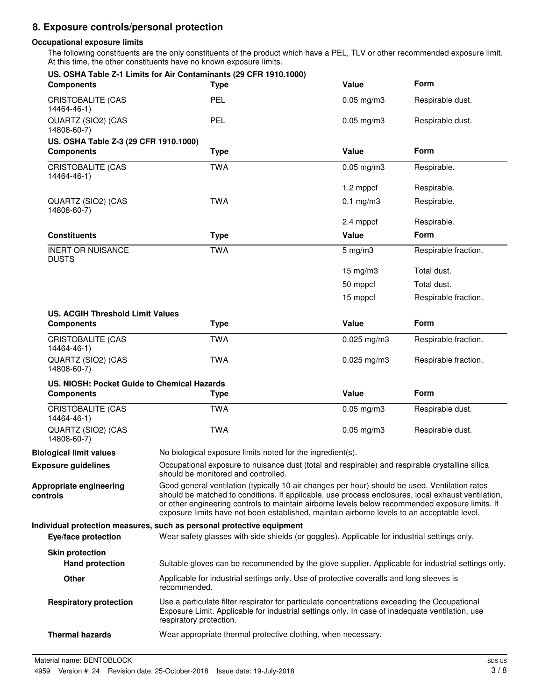# **8. Exposure controls/personal protection**

#### **Occupational exposure limits**

The following constituents are the only constituents of the product which have a PEL, TLV or other recommended exposure limit. At this time, the other constituents have no known exposure limits.

| <b>Components</b>                                            | US. OSHA Table Z-1 Limits for Air Contaminants (29 CFR 1910.1000)<br><b>Type</b>                                                                                                                                                                                                                                                                                                                       | Value           | <b>Form</b>          |
|--------------------------------------------------------------|--------------------------------------------------------------------------------------------------------------------------------------------------------------------------------------------------------------------------------------------------------------------------------------------------------------------------------------------------------------------------------------------------------|-----------------|----------------------|
| <b>CRISTOBALITE (CAS</b><br>14464-46-1)                      | PEL                                                                                                                                                                                                                                                                                                                                                                                                    | $0.05$ mg/m $3$ | Respirable dust.     |
| QUARTZ (SIO2) (CAS<br>14808-60-7)                            | PEL                                                                                                                                                                                                                                                                                                                                                                                                    | $0.05$ mg/m $3$ | Respirable dust.     |
| US. OSHA Table Z-3 (29 CFR 1910.1000)                        |                                                                                                                                                                                                                                                                                                                                                                                                        |                 |                      |
| <b>Components</b>                                            | <b>Type</b>                                                                                                                                                                                                                                                                                                                                                                                            | Value           | Form                 |
| <b>CRISTOBALITE (CAS</b><br>14464-46-1)                      | <b>TWA</b>                                                                                                                                                                                                                                                                                                                                                                                             | $0.05$ mg/m $3$ | Respirable.          |
|                                                              |                                                                                                                                                                                                                                                                                                                                                                                                        | 1.2 mppcf       | Respirable.          |
| QUARTZ (SIO2) (CAS<br>14808-60-7)                            | <b>TWA</b>                                                                                                                                                                                                                                                                                                                                                                                             | $0.1$ mg/m3     | Respirable.          |
|                                                              |                                                                                                                                                                                                                                                                                                                                                                                                        | 2.4 mppcf       | Respirable.          |
| <b>Constituents</b>                                          | <b>Type</b>                                                                                                                                                                                                                                                                                                                                                                                            | Value           | Form                 |
| <b>INERT OR NUISANCE</b><br><b>DUSTS</b>                     | <b>TWA</b>                                                                                                                                                                                                                                                                                                                                                                                             | $5$ mg/m $3$    | Respirable fraction. |
|                                                              |                                                                                                                                                                                                                                                                                                                                                                                                        | 15 mg/m3        | Total dust.          |
|                                                              |                                                                                                                                                                                                                                                                                                                                                                                                        | 50 mppcf        | Total dust.          |
|                                                              |                                                                                                                                                                                                                                                                                                                                                                                                        | 15 mppcf        | Respirable fraction. |
| <b>US. ACGIH Threshold Limit Values</b><br><b>Components</b> | <b>Type</b>                                                                                                                                                                                                                                                                                                                                                                                            | Value           | Form                 |
| CRISTOBALITE (CAS<br>14464-46-1)                             | <b>TWA</b>                                                                                                                                                                                                                                                                                                                                                                                             | $0.025$ mg/m3   | Respirable fraction. |
| QUARTZ (SIO2) (CAS<br>14808-60-7)                            | <b>TWA</b>                                                                                                                                                                                                                                                                                                                                                                                             | $0.025$ mg/m3   | Respirable fraction. |
| US. NIOSH: Pocket Guide to Chemical Hazards                  |                                                                                                                                                                                                                                                                                                                                                                                                        |                 |                      |
| <b>Components</b>                                            | <b>Type</b>                                                                                                                                                                                                                                                                                                                                                                                            | Value           | Form                 |
| <b>CRISTOBALITE (CAS</b><br>14464-46-1)                      | <b>TWA</b>                                                                                                                                                                                                                                                                                                                                                                                             | $0.05$ mg/m $3$ | Respirable dust.     |
| QUARTZ (SIO2) (CAS<br>14808-60-7)                            | <b>TWA</b>                                                                                                                                                                                                                                                                                                                                                                                             | $0.05$ mg/m $3$ | Respirable dust.     |
| <b>Biological limit values</b>                               | No biological exposure limits noted for the ingredient(s).                                                                                                                                                                                                                                                                                                                                             |                 |                      |
| <b>Exposure guidelines</b>                                   | Occupational exposure to nuisance dust (total and respirable) and respirable crystalline silica<br>should be monitored and controlled.                                                                                                                                                                                                                                                                 |                 |                      |
| Appropriate engineering<br>controls                          | Good general ventilation (typically 10 air changes per hour) should be used. Ventilation rates<br>should be matched to conditions. If applicable, use process enclosures, local exhaust ventilation,<br>or other engineering controls to maintain airborne levels below recommended exposure limits. If<br>exposure limits have not been established, maintain airborne levels to an acceptable level. |                 |                      |
| Eye/face protection                                          | Individual protection measures, such as personal protective equipment<br>Wear safety glasses with side shields (or goggles). Applicable for industrial settings only.                                                                                                                                                                                                                                  |                 |                      |
| <b>Skin protection</b><br><b>Hand protection</b>             | Suitable gloves can be recommended by the glove supplier. Applicable for industrial settings only.                                                                                                                                                                                                                                                                                                     |                 |                      |
| Other                                                        | Applicable for industrial settings only. Use of protective coveralls and long sleeves is<br>recommended.                                                                                                                                                                                                                                                                                               |                 |                      |
|                                                              |                                                                                                                                                                                                                                                                                                                                                                                                        |                 |                      |
| <b>Respiratory protection</b>                                | Use a particulate filter respirator for particulate concentrations exceeding the Occupational<br>Exposure Limit. Applicable for industrial settings only. In case of inadequate ventilation, use<br>respiratory protection.                                                                                                                                                                            |                 |                      |
| <b>Thermal hazards</b>                                       | Wear appropriate thermal protective clothing, when necessary.                                                                                                                                                                                                                                                                                                                                          |                 |                      |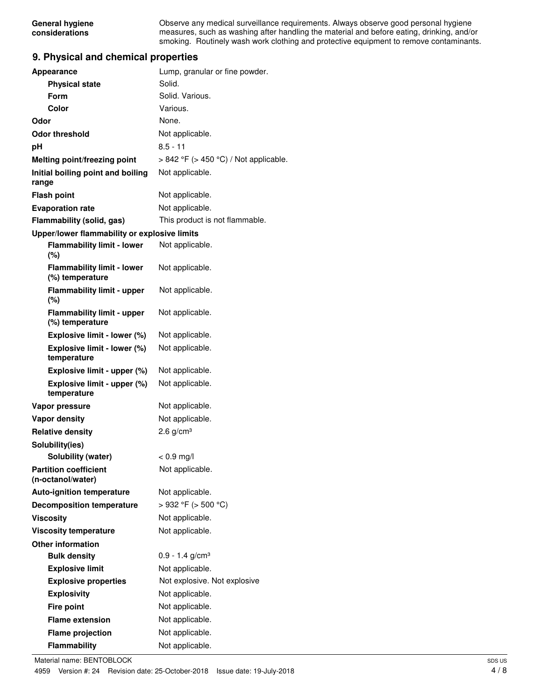Observe any medical surveillance requirements. Always observe good personal hygiene measures, such as washing after handling the material and before eating, drinking, and/or smoking. Routinely wash work clothing and protective equipment to remove contaminants.

### **9. Physical and chemical properties**

| <b>Appearance</b>                                    | Lump, granular or fine powder.             |
|------------------------------------------------------|--------------------------------------------|
| <b>Physical state</b>                                | Solid.                                     |
| Form                                                 | Solid. Various.                            |
| Color                                                | Various.                                   |
| Odor                                                 | None.                                      |
| <b>Odor threshold</b>                                | Not applicable.                            |
| рH                                                   | $8.5 - 11$                                 |
| Melting point/freezing point                         | $> 842$ °F ( $> 450$ °C) / Not applicable. |
| Initial boiling point and boiling<br>range           | Not applicable.                            |
| <b>Flash point</b>                                   | Not applicable.                            |
| <b>Evaporation rate</b>                              | Not applicable.                            |
| Flammability (solid, gas)                            | This product is not flammable.             |
| Upper/lower flammability or explosive limits         |                                            |
| <b>Flammability limit - lower</b><br>(%)             | Not applicable.                            |
| <b>Flammability limit - lower</b><br>(%) temperature | Not applicable.                            |
| <b>Flammability limit - upper</b><br>(%)             | Not applicable.                            |
| <b>Flammability limit - upper</b><br>(%) temperature | Not applicable.                            |
| Explosive limit - lower (%)                          | Not applicable.                            |
| Explosive limit - lower (%)<br>temperature           | Not applicable.                            |
| Explosive limit - upper (%)                          | Not applicable.                            |
| Explosive limit - upper (%)<br>temperature           | Not applicable.                            |
| Vapor pressure                                       | Not applicable.                            |
| <b>Vapor density</b>                                 | Not applicable.                            |
| <b>Relative density</b>                              | 2.6 $g/cm3$                                |
| Solubility(ies)                                      |                                            |
| Solubility (water)                                   | $< 0.9$ mg/l                               |
| <b>Partition coefficient</b><br>(n-octanol/water)    | Not applicable.                            |
| <b>Auto-ignition temperature</b>                     | Not applicable.                            |
| <b>Decomposition temperature</b>                     | > 932 °F (> 500 °C)                        |
| <b>Viscosity</b>                                     | Not applicable.                            |
| <b>Viscosity temperature</b>                         | Not applicable.                            |
| <b>Other information</b>                             |                                            |
| <b>Bulk density</b>                                  | $0.9 - 1.4$ g/cm <sup>3</sup>              |
| <b>Explosive limit</b>                               | Not applicable.                            |
| <b>Explosive properties</b>                          | Not explosive. Not explosive               |
| <b>Explosivity</b>                                   | Not applicable.                            |
| <b>Fire point</b>                                    | Not applicable.                            |
| <b>Flame extension</b>                               | Not applicable.                            |
| <b>Flame projection</b>                              | Not applicable.                            |
| Flammability                                         | Not applicable.                            |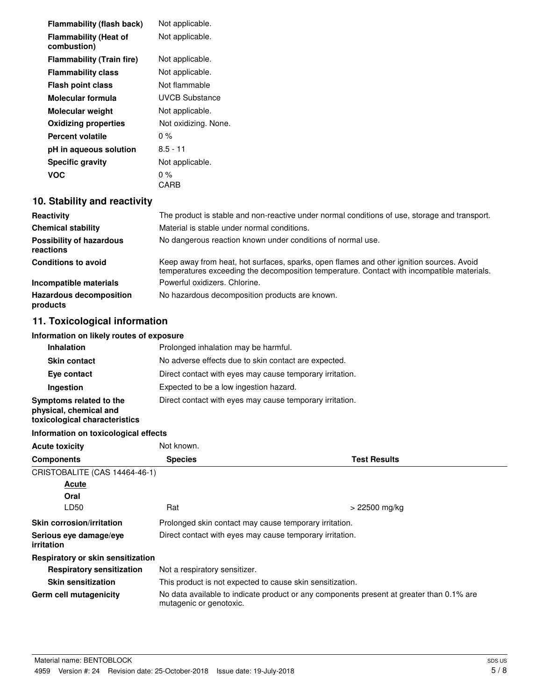| <b>Flammability (flash back)</b>            | Not applicable.      |
|---------------------------------------------|----------------------|
| <b>Flammability (Heat of</b><br>combustion) | Not applicable.      |
| <b>Flammability (Train fire)</b>            | Not applicable.      |
| <b>Flammability class</b>                   | Not applicable.      |
| <b>Flash point class</b>                    | Not flammable        |
| Molecular formula                           | UVCB Substance       |
| <b>Molecular weight</b>                     | Not applicable.      |
| <b>Oxidizing properties</b>                 | Not oxidizing. None. |
| Percent volatile                            | $0\%$                |
| pH in aqueous solution                      | $8.5 - 11$           |
| <b>Specific gravity</b>                     | Not applicable.      |
| VOC                                         | 0 %                  |
|                                             | CARB                 |

# **10. Stability and reactivity**

| Reactivity                                   | The product is stable and non-reactive under normal conditions of use, storage and transport.                                                                                          |
|----------------------------------------------|----------------------------------------------------------------------------------------------------------------------------------------------------------------------------------------|
| <b>Chemical stability</b>                    | Material is stable under normal conditions.                                                                                                                                            |
| <b>Possibility of hazardous</b><br>reactions | No dangerous reaction known under conditions of normal use.                                                                                                                            |
| <b>Conditions to avoid</b>                   | Keep away from heat, hot surfaces, sparks, open flames and other ignition sources. Avoid<br>temperatures exceeding the decomposition temperature. Contact with incompatible materials. |
| Incompatible materials                       | Powerful oxidizers, Chlorine.                                                                                                                                                          |
| <b>Hazardous decomposition</b><br>products   | No hazardous decomposition products are known.                                                                                                                                         |

# **11. Toxicological information**

## **Information on likely routes of exposure**

| <b>Inhalation</b>                                                                  | Prolonged inhalation may be harmful.                     |
|------------------------------------------------------------------------------------|----------------------------------------------------------|
| <b>Skin contact</b>                                                                | No adverse effects due to skin contact are expected.     |
| Eye contact                                                                        | Direct contact with eyes may cause temporary irritation. |
| Ingestion                                                                          | Expected to be a low ingestion hazard.                   |
| Symptoms related to the<br>physical, chemical and<br>toxicological characteristics | Direct contact with eyes may cause temporary irritation. |

## **Information on toxicological effects**

| <b>Acute toxicity</b>                       | Not known.                                               |                                                                                          |
|---------------------------------------------|----------------------------------------------------------|------------------------------------------------------------------------------------------|
| <b>Components</b>                           | <b>Species</b>                                           | <b>Test Results</b>                                                                      |
| CRISTOBALITE (CAS 14464-46-1)               |                                                          |                                                                                          |
| Acute                                       |                                                          |                                                                                          |
| Oral                                        |                                                          |                                                                                          |
| LD50                                        | Rat                                                      | > 22500 mg/kg                                                                            |
| <b>Skin corrosion/irritation</b>            | Prolonged skin contact may cause temporary irritation.   |                                                                                          |
| Serious eye damage/eye<br><i>irritation</i> | Direct contact with eyes may cause temporary irritation. |                                                                                          |
| Respiratory or skin sensitization           |                                                          |                                                                                          |
| <b>Respiratory sensitization</b>            | Not a respiratory sensitizer.                            |                                                                                          |
| <b>Skin sensitization</b>                   |                                                          | This product is not expected to cause skin sensitization.                                |
| Germ cell mutagenicity                      | mutagenic or genotoxic.                                  | No data available to indicate product or any components present at greater than 0.1% are |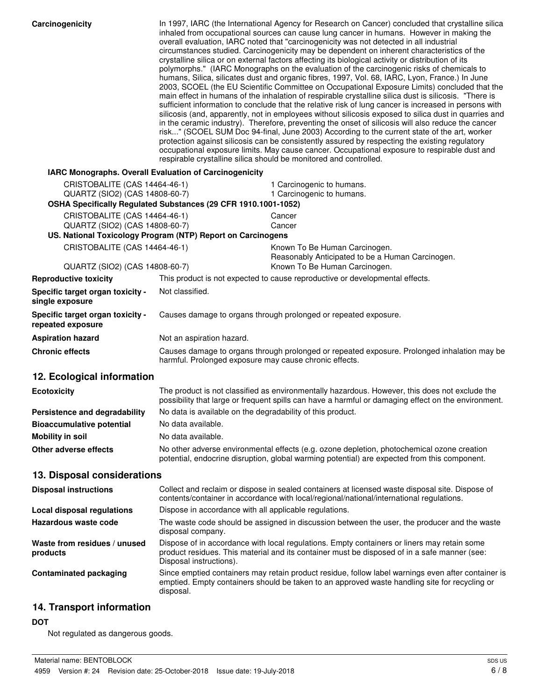| Carcinogenicity                                                 | In 1997, IARC (the International Agency for Research on Cancer) concluded that crystalline silica<br>inhaled from occupational sources can cause lung cancer in humans. However in making the<br>overall evaluation, IARC noted that "carcinogenicity was not detected in all industrial<br>circumstances studied. Carcinogenicity may be dependent on inherent characteristics of the<br>crystalline silica or on external factors affecting its biological activity or distribution of its<br>polymorphs." (IARC Monographs on the evaluation of the carcinogenic risks of chemicals to<br>humans, Silica, silicates dust and organic fibres, 1997, Vol. 68, IARC, Lyon, France.) In June<br>2003, SCOEL (the EU Scientific Committee on Occupational Exposure Limits) concluded that the<br>main effect in humans of the inhalation of respirable crystalline silica dust is silicosis. "There is<br>sufficient information to conclude that the relative risk of lung cancer is increased in persons with<br>silicosis (and, apparently, not in employees without silicosis exposed to silica dust in quarries and<br>in the ceramic industry). Therefore, preventing the onset of silicosis will also reduce the cancer<br>risk" (SCOEL SUM Doc 94-final, June 2003) According to the current state of the art, worker<br>protection against silicosis can be consistently assured by respecting the existing regulatory<br>occupational exposure limits. May cause cancer. Occupational exposure to respirable dust and<br>respirable crystalline silica should be monitored and controlled. |                                                                                                                                                                                                       |
|-----------------------------------------------------------------|----------------------------------------------------------------------------------------------------------------------------------------------------------------------------------------------------------------------------------------------------------------------------------------------------------------------------------------------------------------------------------------------------------------------------------------------------------------------------------------------------------------------------------------------------------------------------------------------------------------------------------------------------------------------------------------------------------------------------------------------------------------------------------------------------------------------------------------------------------------------------------------------------------------------------------------------------------------------------------------------------------------------------------------------------------------------------------------------------------------------------------------------------------------------------------------------------------------------------------------------------------------------------------------------------------------------------------------------------------------------------------------------------------------------------------------------------------------------------------------------------------------------------------------------------------------------------------------------------|-------------------------------------------------------------------------------------------------------------------------------------------------------------------------------------------------------|
| IARC Monographs. Overall Evaluation of Carcinogenicity          |                                                                                                                                                                                                                                                                                                                                                                                                                                                                                                                                                                                                                                                                                                                                                                                                                                                                                                                                                                                                                                                                                                                                                                                                                                                                                                                                                                                                                                                                                                                                                                                                    |                                                                                                                                                                                                       |
| CRISTOBALITE (CAS 14464-46-1)<br>QUARTZ (SIO2) (CAS 14808-60-7) |                                                                                                                                                                                                                                                                                                                                                                                                                                                                                                                                                                                                                                                                                                                                                                                                                                                                                                                                                                                                                                                                                                                                                                                                                                                                                                                                                                                                                                                                                                                                                                                                    | 1 Carcinogenic to humans.<br>1 Carcinogenic to humans.                                                                                                                                                |
|                                                                 | OSHA Specifically Regulated Substances (29 CFR 1910.1001-1052)                                                                                                                                                                                                                                                                                                                                                                                                                                                                                                                                                                                                                                                                                                                                                                                                                                                                                                                                                                                                                                                                                                                                                                                                                                                                                                                                                                                                                                                                                                                                     |                                                                                                                                                                                                       |
| CRISTOBALITE (CAS 14464-46-1)<br>QUARTZ (SIO2) (CAS 14808-60-7) |                                                                                                                                                                                                                                                                                                                                                                                                                                                                                                                                                                                                                                                                                                                                                                                                                                                                                                                                                                                                                                                                                                                                                                                                                                                                                                                                                                                                                                                                                                                                                                                                    | Cancer<br>Cancer                                                                                                                                                                                      |
|                                                                 | US. National Toxicology Program (NTP) Report on Carcinogens                                                                                                                                                                                                                                                                                                                                                                                                                                                                                                                                                                                                                                                                                                                                                                                                                                                                                                                                                                                                                                                                                                                                                                                                                                                                                                                                                                                                                                                                                                                                        |                                                                                                                                                                                                       |
| CRISTOBALITE (CAS 14464-46-1)                                   |                                                                                                                                                                                                                                                                                                                                                                                                                                                                                                                                                                                                                                                                                                                                                                                                                                                                                                                                                                                                                                                                                                                                                                                                                                                                                                                                                                                                                                                                                                                                                                                                    | Known To Be Human Carcinogen.<br>Reasonably Anticipated to be a Human Carcinogen.                                                                                                                     |
| QUARTZ (SIO2) (CAS 14808-60-7)                                  |                                                                                                                                                                                                                                                                                                                                                                                                                                                                                                                                                                                                                                                                                                                                                                                                                                                                                                                                                                                                                                                                                                                                                                                                                                                                                                                                                                                                                                                                                                                                                                                                    | Known To Be Human Carcinogen.                                                                                                                                                                         |
| <b>Reproductive toxicity</b>                                    |                                                                                                                                                                                                                                                                                                                                                                                                                                                                                                                                                                                                                                                                                                                                                                                                                                                                                                                                                                                                                                                                                                                                                                                                                                                                                                                                                                                                                                                                                                                                                                                                    | This product is not expected to cause reproductive or developmental effects.                                                                                                                          |
| Specific target organ toxicity -<br>single exposure             | Not classified.                                                                                                                                                                                                                                                                                                                                                                                                                                                                                                                                                                                                                                                                                                                                                                                                                                                                                                                                                                                                                                                                                                                                                                                                                                                                                                                                                                                                                                                                                                                                                                                    |                                                                                                                                                                                                       |
| Specific target organ toxicity -<br>repeated exposure           |                                                                                                                                                                                                                                                                                                                                                                                                                                                                                                                                                                                                                                                                                                                                                                                                                                                                                                                                                                                                                                                                                                                                                                                                                                                                                                                                                                                                                                                                                                                                                                                                    | Causes damage to organs through prolonged or repeated exposure.                                                                                                                                       |
| <b>Aspiration hazard</b>                                        | Not an aspiration hazard.                                                                                                                                                                                                                                                                                                                                                                                                                                                                                                                                                                                                                                                                                                                                                                                                                                                                                                                                                                                                                                                                                                                                                                                                                                                                                                                                                                                                                                                                                                                                                                          |                                                                                                                                                                                                       |
| <b>Chronic effects</b>                                          | Causes damage to organs through prolonged or repeated exposure. Prolonged inhalation may be<br>harmful. Prolonged exposure may cause chronic effects.                                                                                                                                                                                                                                                                                                                                                                                                                                                                                                                                                                                                                                                                                                                                                                                                                                                                                                                                                                                                                                                                                                                                                                                                                                                                                                                                                                                                                                              |                                                                                                                                                                                                       |
| 12. Ecological information                                      |                                                                                                                                                                                                                                                                                                                                                                                                                                                                                                                                                                                                                                                                                                                                                                                                                                                                                                                                                                                                                                                                                                                                                                                                                                                                                                                                                                                                                                                                                                                                                                                                    |                                                                                                                                                                                                       |
| <b>Ecotoxicity</b>                                              |                                                                                                                                                                                                                                                                                                                                                                                                                                                                                                                                                                                                                                                                                                                                                                                                                                                                                                                                                                                                                                                                                                                                                                                                                                                                                                                                                                                                                                                                                                                                                                                                    | The product is not classified as environmentally hazardous. However, this does not exclude the<br>possibility that large or frequent spills can have a harmful or damaging effect on the environment. |
| Persistence and degradability                                   | No data is available on the degradability of this product.                                                                                                                                                                                                                                                                                                                                                                                                                                                                                                                                                                                                                                                                                                                                                                                                                                                                                                                                                                                                                                                                                                                                                                                                                                                                                                                                                                                                                                                                                                                                         |                                                                                                                                                                                                       |
| <b>Bioaccumulative potential</b>                                | No data available.                                                                                                                                                                                                                                                                                                                                                                                                                                                                                                                                                                                                                                                                                                                                                                                                                                                                                                                                                                                                                                                                                                                                                                                                                                                                                                                                                                                                                                                                                                                                                                                 |                                                                                                                                                                                                       |
| <b>Mobility in soil</b>                                         | No data available.                                                                                                                                                                                                                                                                                                                                                                                                                                                                                                                                                                                                                                                                                                                                                                                                                                                                                                                                                                                                                                                                                                                                                                                                                                                                                                                                                                                                                                                                                                                                                                                 |                                                                                                                                                                                                       |
| Other adverse effects                                           |                                                                                                                                                                                                                                                                                                                                                                                                                                                                                                                                                                                                                                                                                                                                                                                                                                                                                                                                                                                                                                                                                                                                                                                                                                                                                                                                                                                                                                                                                                                                                                                                    | No other adverse environmental effects (e.g. ozone depletion, photochemical ozone creation<br>potential, endocrine disruption, global warming potential) are expected from this component.            |
| 13. Disposal considerations                                     |                                                                                                                                                                                                                                                                                                                                                                                                                                                                                                                                                                                                                                                                                                                                                                                                                                                                                                                                                                                                                                                                                                                                                                                                                                                                                                                                                                                                                                                                                                                                                                                                    |                                                                                                                                                                                                       |
| <b>Disposal instructions</b>                                    |                                                                                                                                                                                                                                                                                                                                                                                                                                                                                                                                                                                                                                                                                                                                                                                                                                                                                                                                                                                                                                                                                                                                                                                                                                                                                                                                                                                                                                                                                                                                                                                                    | Collect and reclaim or dispose in sealed containers at licensed waste disposal site. Dispose of<br>contents/container in accordance with local/regional/national/international regulations.           |
| <b>Local disposal regulations</b>                               | Dispose in accordance with all applicable regulations.                                                                                                                                                                                                                                                                                                                                                                                                                                                                                                                                                                                                                                                                                                                                                                                                                                                                                                                                                                                                                                                                                                                                                                                                                                                                                                                                                                                                                                                                                                                                             |                                                                                                                                                                                                       |
| Hazardous waste code                                            | disposal company.                                                                                                                                                                                                                                                                                                                                                                                                                                                                                                                                                                                                                                                                                                                                                                                                                                                                                                                                                                                                                                                                                                                                                                                                                                                                                                                                                                                                                                                                                                                                                                                  | The waste code should be assigned in discussion between the user, the producer and the waste                                                                                                          |
| Waste from residues / unused<br>products                        | Disposal instructions).                                                                                                                                                                                                                                                                                                                                                                                                                                                                                                                                                                                                                                                                                                                                                                                                                                                                                                                                                                                                                                                                                                                                                                                                                                                                                                                                                                                                                                                                                                                                                                            | Dispose of in accordance with local regulations. Empty containers or liners may retain some<br>product residues. This material and its container must be disposed of in a safe manner (see:           |
| <b>Contaminated packaging</b>                                   | disposal.                                                                                                                                                                                                                                                                                                                                                                                                                                                                                                                                                                                                                                                                                                                                                                                                                                                                                                                                                                                                                                                                                                                                                                                                                                                                                                                                                                                                                                                                                                                                                                                          | Since emptied containers may retain product residue, follow label warnings even after container is<br>emptied. Empty containers should be taken to an approved waste handling site for recycling or   |

# **14. Transport information**

# **DOT**

Not regulated as dangerous goods.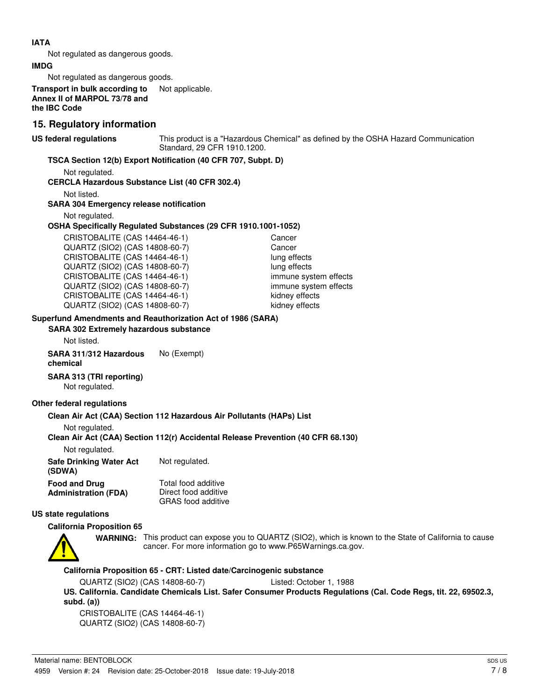#### **IATA**

Not regulated as dangerous goods.

#### **IMDG**

Not regulated as dangerous goods.

**Transport in bulk according to** Not applicable. **Annex II of MARPOL 73/78 and the IBC Code**

### **15. Regulatory information**

**US federal regulations**

This product is a "Hazardous Chemical" as defined by the OSHA Hazard Communication Standard, 29 CFR 1910.1200.

#### **TSCA Section 12(b) Export Notification (40 CFR 707, Subpt. D)**

Not regulated.

#### **CERCLA Hazardous Substance List (40 CFR 302.4)**

Not listed.

#### **SARA 304 Emergency release notification**

Not regulated.

#### **OSHA Specifically Regulated Substances (29 CFR 1910.1001-1052)**

CRISTOBALITE (CAS 14464-46-1) Cancer QUARTZ (SIO2) (CAS 14808-60-7) Cancer CRISTOBALITE (CAS 14464-46-1) lung effects QUARTZ (SIO2) (CAS 14808-60-7) lung effects CRISTOBALITE (CAS 14464-46-1) immune system effects QUARTZ (SIO2) (CAS 14808-60-7) immune system effects CRISTOBALITE (CAS 14464-46-1) kidney effects QUARTZ (SIO2) (CAS 14808-60-7) kidney effects

## **Superfund Amendments and Reauthorization Act of 1986 (SARA)**

**SARA 302 Extremely hazardous substance**

Not listed.

**SARA 311/312 Hazardous** No (Exempt) **chemical**

### **SARA 313 (TRI reporting)**

Not regulated.

#### **Other federal regulations**

#### **Clean Air Act (CAA) Section 112 Hazardous Air Pollutants (HAPs) List**

Not regulated.

#### **Clean Air Act (CAA) Section 112(r) Accidental Release Prevention (40 CFR 68.130)**

Not regulated.

| <b>Safe Drinking Water Act</b><br>(SDWA) | Not regulated.            |  |
|------------------------------------------|---------------------------|--|
| <b>Food and Drug</b>                     | Total food additive       |  |
| <b>Administration (FDA)</b>              | Direct food additive      |  |
|                                          | <b>GRAS</b> food additive |  |

### **US state regulations**

#### **California Proposition 65**



WARNING: This product can expose you to QUARTZ (SIO2), which is known to the State of California to cause cancer. For more information go to www.P65Warnings.ca.gov.

#### **California Proposition 65 - CRT: Listed date/Carcinogenic substance**

QUARTZ (SIO2) (CAS 14808-60-7) Listed: October 1, 1988

**US. California. Candidate Chemicals List. Safer Consumer Products Regulations (Cal. Code Regs, tit. 22, 69502.3, subd. (a))**

CRISTOBALITE (CAS 14464-46-1) QUARTZ (SIO2) (CAS 14808-60-7)